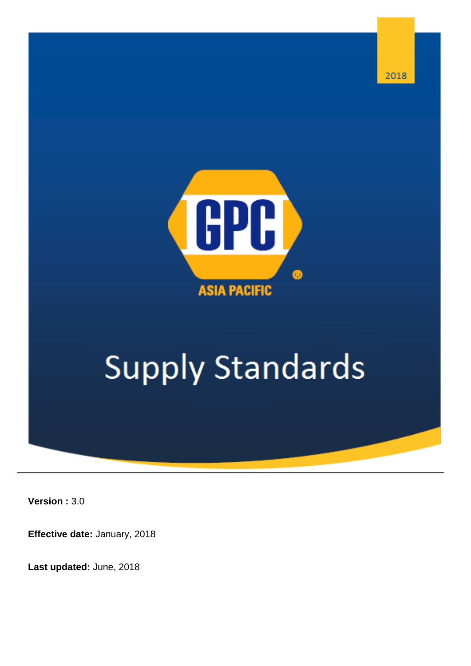

# **Supply Standards**

**Version :** 3.0

**Effective date:** January, 2018

**Last updated:** June, 2018

2018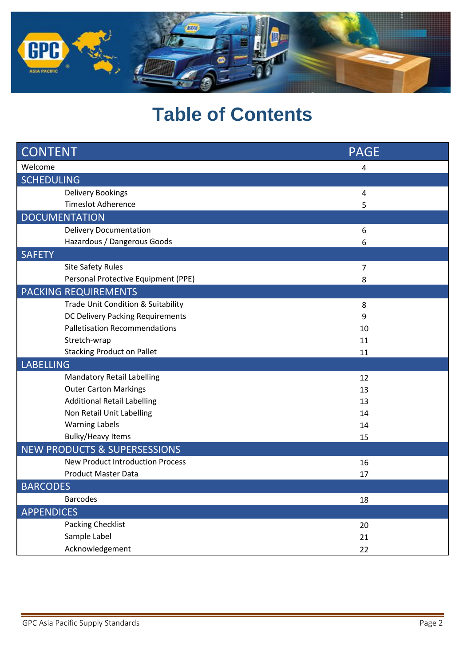

# **Table of Contents**

| <b>CONTENT</b>                          | <b>PAGE</b>    |
|-----------------------------------------|----------------|
| Welcome                                 | 4              |
| <b>SCHEDULING</b>                       |                |
| <b>Delivery Bookings</b>                | 4              |
| <b>Timeslot Adherence</b>               | 5              |
| <b>DOCUMENTATION</b>                    |                |
| <b>Delivery Documentation</b>           | 6              |
| Hazardous / Dangerous Goods             | 6              |
| <b>SAFETY</b>                           |                |
| <b>Site Safety Rules</b>                | $\overline{7}$ |
| Personal Protective Equipment (PPE)     | 8              |
| <b>PACKING REQUIREMENTS</b>             |                |
| Trade Unit Condition & Suitability      | 8              |
| DC Delivery Packing Requirements        | 9              |
| <b>Palletisation Recommendations</b>    | 10             |
| Stretch-wrap                            | 11             |
| <b>Stacking Product on Pallet</b>       | 11             |
| <b>LABELLING</b>                        |                |
| <b>Mandatory Retail Labelling</b>       | 12             |
| <b>Outer Carton Markings</b>            | 13             |
| <b>Additional Retail Labelling</b>      | 13             |
| Non Retail Unit Labelling               | 14             |
| <b>Warning Labels</b>                   | 14             |
| <b>Bulky/Heavy Items</b>                | 15             |
| <b>NEW PRODUCTS &amp; SUPERSESSIONS</b> |                |
| <b>New Product Introduction Process</b> | 16             |
| <b>Product Master Data</b>              | 17             |
| <b>BARCODES</b>                         |                |
| <b>Barcodes</b>                         | 18             |
| <b>APPENDICES</b>                       |                |
| <b>Packing Checklist</b>                | 20             |
| Sample Label                            | 21             |
| Acknowledgement                         | 22             |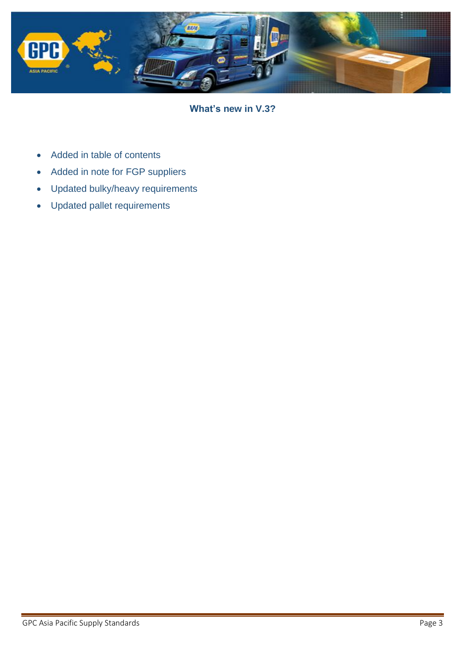

**What's new in V.3?**

- Added in table of contents
- Added in note for FGP suppliers
- Updated bulky/heavy requirements
- Updated pallet requirements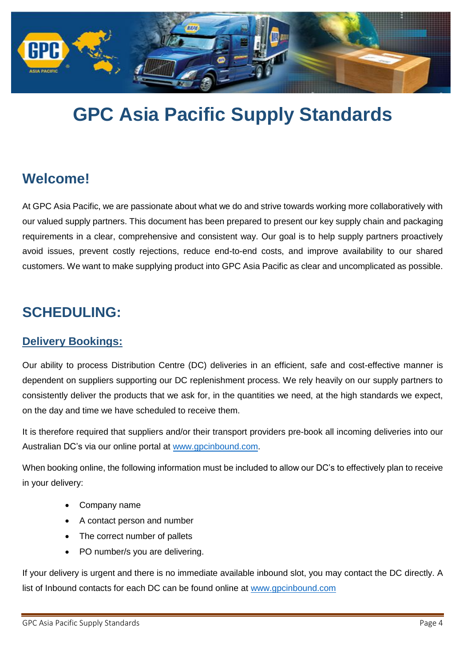

# **GPC Asia Pacific Supply Standards**

### **Welcome!**

At GPC Asia Pacific, we are passionate about what we do and strive towards working more collaboratively with our valued supply partners. This document has been prepared to present our key supply chain and packaging requirements in a clear, comprehensive and consistent way. Our goal is to help supply partners proactively avoid issues, prevent costly rejections, reduce end-to-end costs, and improve availability to our shared customers. We want to make supplying product into GPC Asia Pacific as clear and uncomplicated as possible.

### **SCHEDULING:**

#### **Delivery Bookings:**

Our ability to process Distribution Centre (DC) deliveries in an efficient, safe and cost-effective manner is dependent on suppliers supporting our DC replenishment process. We rely heavily on our supply partners to consistently deliver the products that we ask for, in the quantities we need, at the high standards we expect, on the day and time we have scheduled to receive them.

It is therefore required that suppliers and/or their transport providers pre-book all incoming deliveries into our Australian DC's via our online portal at [www.gpcinbound.com.](http://www.gpcinbound.com/)

When booking online, the following information must be included to allow our DC's to effectively plan to receive in your delivery:

- Company name
- A contact person and number
- The correct number of pallets
- PO number/s you are delivering.

If your delivery is urgent and there is no immediate available inbound slot, you may contact the DC directly. A list of Inbound contacts for each DC can be found online at [www.gpcinbound.com](http://www.gpcinbound.com/)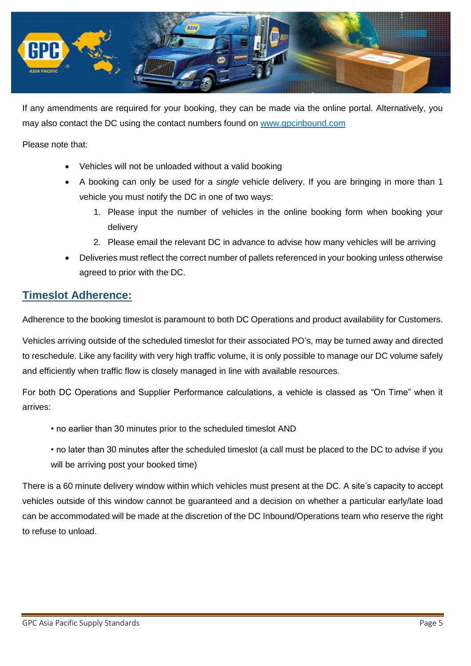

If any amendments are required for your booking, they can be made via the online portal. Alternatively, you may also contact the DC using the contact numbers found on [www.gpcinbound.com](http://www.gpcinbound.com/)

#### Please note that:

- Vehicles will not be unloaded without a valid booking
- A booking can only be used for a *single* vehicle delivery. If you are bringing in more than 1 vehicle you must notify the DC in one of two ways:
	- 1. Please input the number of vehicles in the online booking form when booking your delivery
	- 2. Please email the relevant DC in advance to advise how many vehicles will be arriving
- Deliveries must reflect the correct number of pallets referenced in your booking unless otherwise agreed to prior with the DC.

#### **Timeslot Adherence:**

Adherence to the booking timeslot is paramount to both DC Operations and product availability for Customers.

Vehicles arriving outside of the scheduled timeslot for their associated PO's, may be turned away and directed to reschedule. Like any facility with very high traffic volume, it is only possible to manage our DC volume safely and efficiently when traffic flow is closely managed in line with available resources.

For both DC Operations and Supplier Performance calculations, a vehicle is classed as "On Time" when it arrives:

- no earlier than 30 minutes prior to the scheduled timeslot AND
- no later than 30 minutes after the scheduled timeslot (a call must be placed to the DC to advise if you will be arriving post your booked time)

There is a 60 minute delivery window within which vehicles must present at the DC. A site's capacity to accept vehicles outside of this window cannot be guaranteed and a decision on whether a particular early/late load can be accommodated will be made at the discretion of the DC Inbound/Operations team who reserve the right to refuse to unload.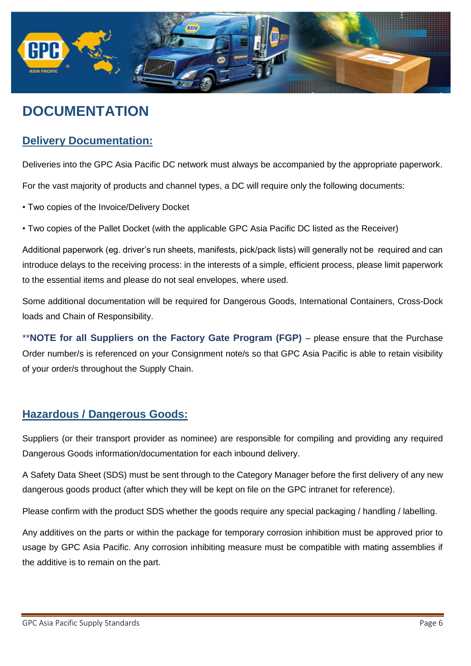

# **DOCUMENTATION**

#### **Delivery Documentation:**

Deliveries into the GPC Asia Pacific DC network must always be accompanied by the appropriate paperwork.

For the vast majority of products and channel types, a DC will require only the following documents:

- Two copies of the Invoice/Delivery Docket
- Two copies of the Pallet Docket (with the applicable GPC Asia Pacific DC listed as the Receiver)

Additional paperwork (eg. driver's run sheets, manifests, pick/pack lists) will generally not be required and can introduce delays to the receiving process: in the interests of a simple, efficient process, please limit paperwork to the essential items and please do not seal envelopes, where used.

Some additional documentation will be required for Dangerous Goods, International Containers, Cross-Dock loads and Chain of Responsibility.

\*\***NOTE for all Suppliers on the Factory Gate Program (FGP)** – please ensure that the Purchase Order number/s is referenced on your Consignment note/s so that GPC Asia Pacific is able to retain visibility of your order/s throughout the Supply Chain.

#### **Hazardous / Dangerous Goods:**

Suppliers (or their transport provider as nominee) are responsible for compiling and providing any required Dangerous Goods information/documentation for each inbound delivery.

A Safety Data Sheet (SDS) must be sent through to the Category Manager before the first delivery of any new dangerous goods product (after which they will be kept on file on the GPC intranet for reference).

Please confirm with the product SDS whether the goods require any special packaging / handling / labelling.

Any additives on the parts or within the package for temporary corrosion inhibition must be approved prior to usage by GPC Asia Pacific. Any corrosion inhibiting measure must be compatible with mating assemblies if the additive is to remain on the part.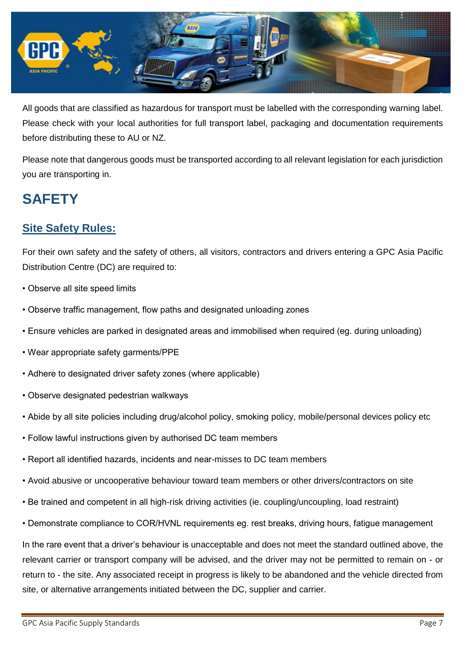

All goods that are classified as hazardous for transport must be labelled with the corresponding warning label. Please check with your local authorities for full transport label, packaging and documentation requirements before distributing these to AU or NZ.

Please note that dangerous goods must be transported according to all relevant legislation for each jurisdiction you are transporting in.

# **SAFETY**

#### **Site Safety Rules:**

For their own safety and the safety of others, all visitors, contractors and drivers entering a GPC Asia Pacific Distribution Centre (DC) are required to:

- Observe all site speed limits
- Observe traffic management, flow paths and designated unloading zones
- Ensure vehicles are parked in designated areas and immobilised when required (eg. during unloading)
- Wear appropriate safety garments/PPE
- Adhere to designated driver safety zones (where applicable)
- Observe designated pedestrian walkways
- Abide by all site policies including drug/alcohol policy, smoking policy, mobile/personal devices policy etc
- Follow lawful instructions given by authorised DC team members
- Report all identified hazards, incidents and near-misses to DC team members
- Avoid abusive or uncooperative behaviour toward team members or other drivers/contractors on site
- Be trained and competent in all high-risk driving activities (ie. coupling/uncoupling, load restraint)
- Demonstrate compliance to COR/HVNL requirements eg. rest breaks, driving hours, fatigue management

In the rare event that a driver's behaviour is unacceptable and does not meet the standard outlined above, the relevant carrier or transport company will be advised, and the driver may not be permitted to remain on - or return to - the site. Any associated receipt in progress is likely to be abandoned and the vehicle directed from site, or alternative arrangements initiated between the DC, supplier and carrier.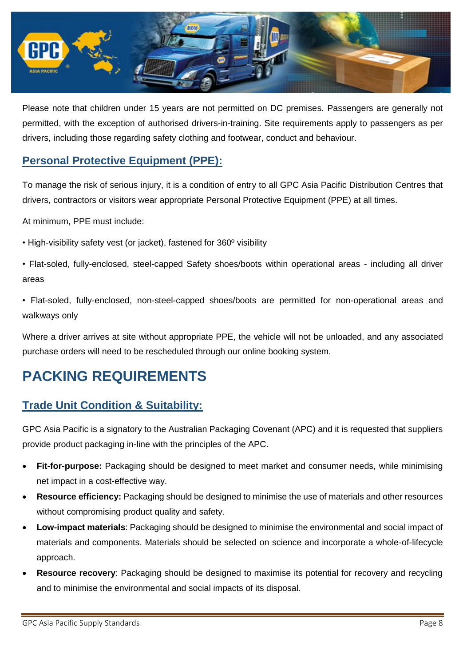

Please note that children under 15 years are not permitted on DC premises. Passengers are generally not permitted, with the exception of authorised drivers-in-training. Site requirements apply to passengers as per drivers, including those regarding safety clothing and footwear, conduct and behaviour.

#### **Personal Protective Equipment (PPE):**

To manage the risk of serious injury, it is a condition of entry to all GPC Asia Pacific Distribution Centres that drivers, contractors or visitors wear appropriate Personal Protective Equipment (PPE) at all times.

At minimum, PPE must include:

• High-visibility safety vest (or jacket), fastened for 360º visibility

• Flat-soled, fully-enclosed, steel-capped Safety shoes/boots within operational areas - including all driver areas

• Flat-soled, fully-enclosed, non-steel-capped shoes/boots are permitted for non-operational areas and walkways only

Where a driver arrives at site without appropriate PPE, the vehicle will not be unloaded, and any associated purchase orders will need to be rescheduled through our online booking system.

# **PACKING REQUIREMENTS**

#### **Trade Unit Condition & Suitability:**

GPC Asia Pacific is a signatory to the Australian Packaging Covenant (APC) and it is requested that suppliers provide product packaging in-line with the principles of the APC.

- **Fit-for-purpose:** Packaging should be designed to meet market and consumer needs, while minimising net impact in a cost-effective way.
- **Resource efficiency:** Packaging should be designed to minimise the use of materials and other resources without compromising product quality and safety.
- **Low-impact materials**: Packaging should be designed to minimise the environmental and social impact of materials and components. Materials should be selected on science and incorporate a whole-of-lifecycle approach.
- **Resource recovery**: Packaging should be designed to maximise its potential for recovery and recycling and to minimise the environmental and social impacts of its disposal.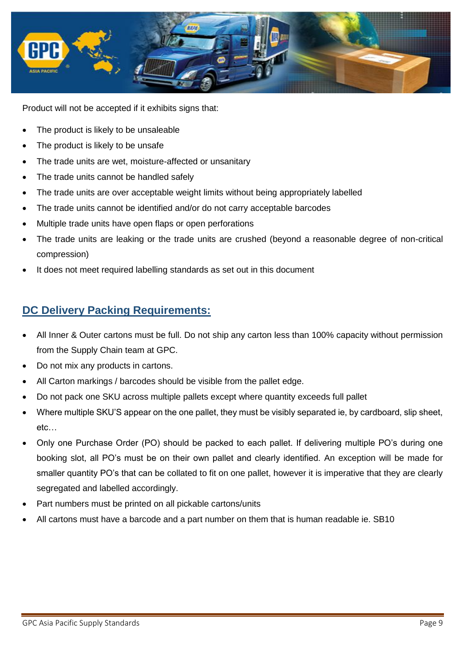

Product will not be accepted if it exhibits signs that:

- The product is likely to be unsaleable
- The product is likely to be unsafe
- The trade units are wet, moisture-affected or unsanitary
- The trade units cannot be handled safely
- The trade units are over acceptable weight limits without being appropriately labelled
- The trade units cannot be identified and/or do not carry acceptable barcodes
- Multiple trade units have open flaps or open perforations
- The trade units are leaking or the trade units are crushed (beyond a reasonable degree of non-critical compression)
- It does not meet required labelling standards as set out in this document

#### **DC Delivery Packing Requirements:**

- All Inner & Outer cartons must be full. Do not ship any carton less than 100% capacity without permission from the Supply Chain team at GPC.
- Do not mix any products in cartons.
- All Carton markings / barcodes should be visible from the pallet edge.
- Do not pack one SKU across multiple pallets except where quantity exceeds full pallet
- Where multiple SKU'S appear on the one pallet, they must be visibly separated ie, by cardboard, slip sheet, etc…
- Only one Purchase Order (PO) should be packed to each pallet. If delivering multiple PO's during one booking slot, all PO's must be on their own pallet and clearly identified. An exception will be made for smaller quantity PO's that can be collated to fit on one pallet, however it is imperative that they are clearly segregated and labelled accordingly.
- Part numbers must be printed on all pickable cartons/units
- All cartons must have a barcode and a part number on them that is human readable ie. SB10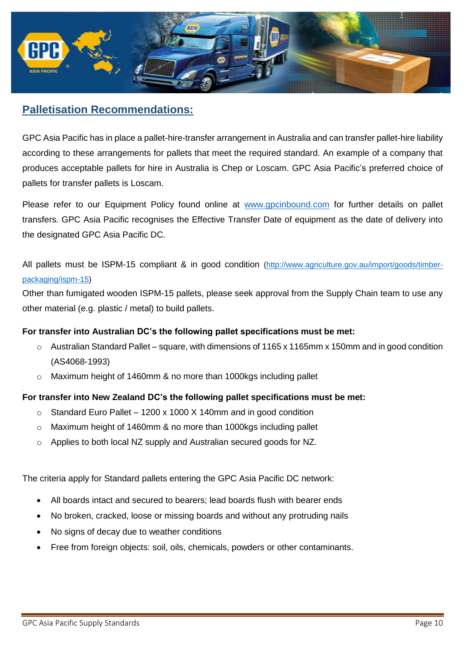

#### **Palletisation Recommendations:**

GPC Asia Pacific has in place a pallet-hire-transfer arrangement in Australia and can transfer pallet-hire liability according to these arrangements for pallets that meet the required standard. An example of a company that produces acceptable pallets for hire in Australia is Chep or Loscam. GPC Asia Pacific's preferred choice of pallets for transfer pallets is Loscam.

Please refer to our Equipment Policy found online at [www.gpcinbound.com](http://www.gpcinbound.com/) for further details on pallet transfers. GPC Asia Pacific recognises the Effective Transfer Date of equipment as the date of delivery into the designated GPC Asia Pacific DC.

All pallets must be ISPM-15 compliant & in good condition [\(http://www.agriculture.gov.au/import/goods/timber](http://www.agriculture.gov.au/import/goods/timber-packaging/ispm-15)[packaging/ispm-15\)](http://www.agriculture.gov.au/import/goods/timber-packaging/ispm-15)

Other than fumigated wooden ISPM-15 pallets, please seek approval from the Supply Chain team to use any other material (e.g. plastic / metal) to build pallets.

#### **For transfer into Australian DC's the following pallet specifications must be met:**

- $\circ$  Australian Standard Pallet square, with dimensions of 1165 x 1165mm x 150mm and in good condition (AS4068-1993)
- o Maximum height of 1460mm & no more than 1000kgs including pallet

#### **For transfer into New Zealand DC's the following pallet specifications must be met:**

- $\circ$  Standard Euro Pallet 1200 x 1000 X 140mm and in good condition
- o Maximum height of 1460mm & no more than 1000kgs including pallet
- o Applies to both local NZ supply and Australian secured goods for NZ.

The criteria apply for Standard pallets entering the GPC Asia Pacific DC network:

- All boards intact and secured to bearers; lead boards flush with bearer ends
- No broken, cracked, loose or missing boards and without any protruding nails
- No signs of decay due to weather conditions
- Free from foreign objects: soil, oils, chemicals, powders or other contaminants.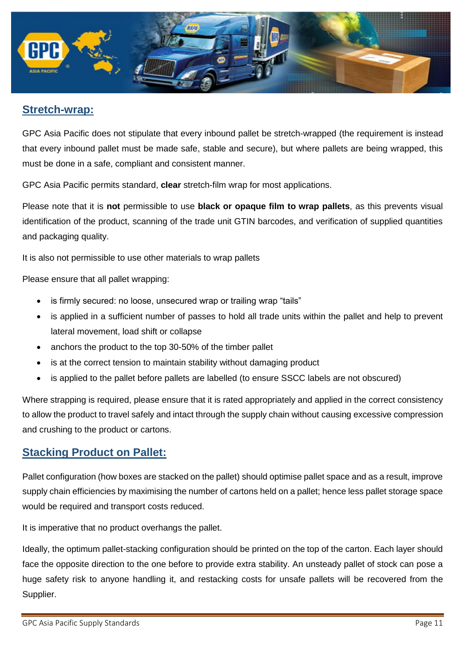

#### **Stretch-wrap:**

GPC Asia Pacific does not stipulate that every inbound pallet be stretch-wrapped (the requirement is instead that every inbound pallet must be made safe, stable and secure), but where pallets are being wrapped, this must be done in a safe, compliant and consistent manner.

GPC Asia Pacific permits standard, **clear** stretch-film wrap for most applications.

Please note that it is **not** permissible to use **black or opaque film to wrap pallets**, as this prevents visual identification of the product, scanning of the trade unit GTIN barcodes, and verification of supplied quantities and packaging quality.

It is also not permissible to use other materials to wrap pallets

Please ensure that all pallet wrapping:

- is firmly secured: no loose, unsecured wrap or trailing wrap "tails"
- is applied in a sufficient number of passes to hold all trade units within the pallet and help to prevent lateral movement, load shift or collapse
- anchors the product to the top 30-50% of the timber pallet
- is at the correct tension to maintain stability without damaging product
- is applied to the pallet before pallets are labelled (to ensure SSCC labels are not obscured)

Where strapping is required, please ensure that it is rated appropriately and applied in the correct consistency to allow the product to travel safely and intact through the supply chain without causing excessive compression and crushing to the product or cartons.

#### **Stacking Product on Pallet:**

Pallet configuration (how boxes are stacked on the pallet) should optimise pallet space and as a result, improve supply chain efficiencies by maximising the number of cartons held on a pallet; hence less pallet storage space would be required and transport costs reduced.

It is imperative that no product overhangs the pallet.

Ideally, the optimum pallet-stacking configuration should be printed on the top of the carton. Each layer should face the opposite direction to the one before to provide extra stability. An unsteady pallet of stock can pose a huge safety risk to anyone handling it, and restacking costs for unsafe pallets will be recovered from the Supplier.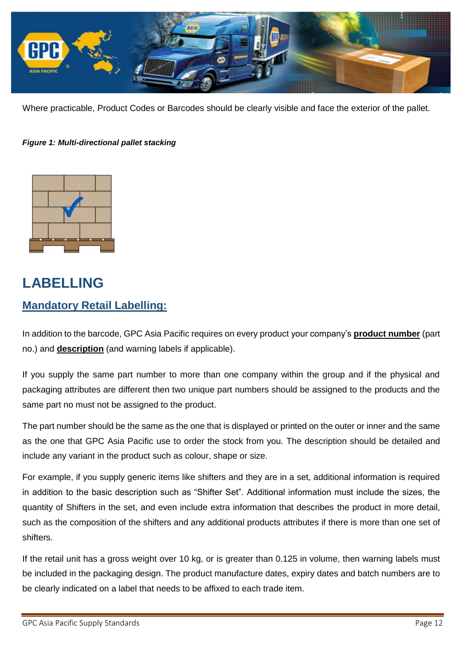

Where practicable, Product Codes or Barcodes should be clearly visible and face the exterior of the pallet.

#### *Figure 1: Multi-directional pallet stacking*



# **LABELLING Mandatory Retail Labelling:**

In addition to the barcode, GPC Asia Pacific requires on every product your company's **product number** (part no.) and **description** (and warning labels if applicable).

If you supply the same part number to more than one company within the group and if the physical and packaging attributes are different then two unique part numbers should be assigned to the products and the same part no must not be assigned to the product.

The part number should be the same as the one that is displayed or printed on the outer or inner and the same as the one that GPC Asia Pacific use to order the stock from you. The description should be detailed and include any variant in the product such as colour, shape or size.

For example, if you supply generic items like shifters and they are in a set, additional information is required in addition to the basic description such as "Shifter Set". Additional information must include the sizes, the quantity of Shifters in the set, and even include extra information that describes the product in more detail, such as the composition of the shifters and any additional products attributes if there is more than one set of shifters.

If the retail unit has a gross weight over 10 kg, or is greater than 0.125 in volume, then warning labels must be included in the packaging design. The product manufacture dates, expiry dates and batch numbers are to be clearly indicated on a label that needs to be affixed to each trade item.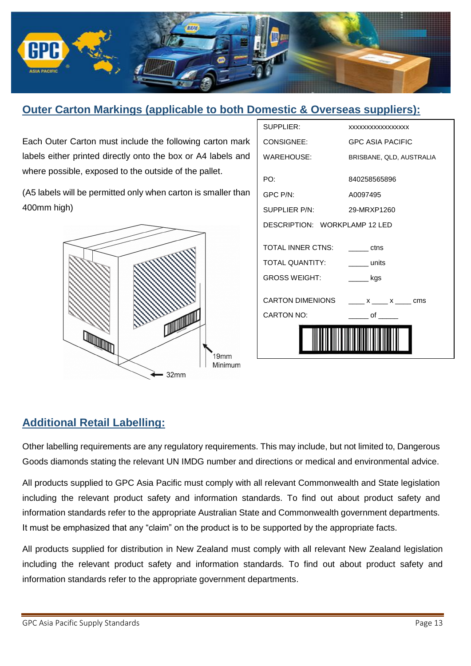

#### **Outer Carton Markings (applicable to both Domestic & Overseas suppliers):**

Each Outer Carton must include the following carton mark labels either printed directly onto the box or A4 labels and where possible, exposed to the outside of the pallet.

(A5 labels will be permitted only when carton is smaller than 400mm high)



| CARTON NO:                    | $\bullet$ of $\bullet$                                                                                                                                                                                                                                                                                                                                                                                               |
|-------------------------------|----------------------------------------------------------------------------------------------------------------------------------------------------------------------------------------------------------------------------------------------------------------------------------------------------------------------------------------------------------------------------------------------------------------------|
| <b>CARTON DIMENIONS</b>       | $x = x$ $x = x$                                                                                                                                                                                                                                                                                                                                                                                                      |
| <b>GROSS WEIGHT:</b>          | $\frac{1}{\sqrt{1-\frac{1}{2}}\sqrt{1-\frac{1}{2}}\sqrt{1-\frac{1}{2}}\sqrt{1-\frac{1}{2}}\sqrt{1-\frac{1}{2}}\sqrt{1-\frac{1}{2}}\sqrt{1-\frac{1}{2}}\sqrt{1-\frac{1}{2}}\sqrt{1-\frac{1}{2}}\sqrt{1-\frac{1}{2}}\sqrt{1-\frac{1}{2}}\sqrt{1-\frac{1}{2}}\sqrt{1-\frac{1}{2}}\sqrt{1-\frac{1}{2}}\sqrt{1-\frac{1}{2}}\sqrt{1-\frac{1}{2}}\sqrt{1-\frac{1}{2}}\sqrt{1-\frac{1}{2}}\sqrt{1-\frac{1}{2}}\sqrt{1-\frac$ |
| <b>TOTAL QUANTITY:</b>        | _______ units                                                                                                                                                                                                                                                                                                                                                                                                        |
| <b>TOTAL INNER CTNS:</b>      | <b>Example 1</b>                                                                                                                                                                                                                                                                                                                                                                                                     |
| DESCRIPTION: WORKPLAMP 12 LED |                                                                                                                                                                                                                                                                                                                                                                                                                      |
| SUPPLIFR P/N:                 | 29-MRXP1260                                                                                                                                                                                                                                                                                                                                                                                                          |
| GPC P/N:                      | A0097495                                                                                                                                                                                                                                                                                                                                                                                                             |
| PO:                           | 840258565896                                                                                                                                                                                                                                                                                                                                                                                                         |
| WAREHOUSE:                    | BRISBANE, QLD, AUSTRALIA                                                                                                                                                                                                                                                                                                                                                                                             |
| CONSIGNEE:                    | <b>GPC ASIA PACIFIC</b>                                                                                                                                                                                                                                                                                                                                                                                              |
| SUPPLIER:                     | XXXXXXXXXXXXXXXX                                                                                                                                                                                                                                                                                                                                                                                                     |

#### **Additional Retail Labelling:**

Other labelling requirements are any regulatory requirements. This may include, but not limited to, Dangerous Goods diamonds stating the relevant UN IMDG number and directions or medical and environmental advice.

All products supplied to GPC Asia Pacific must comply with all relevant Commonwealth and State legislation including the relevant product safety and information standards. To find out about product safety and information standards refer to the appropriate Australian State and Commonwealth government departments. It must be emphasized that any "claim" on the product is to be supported by the appropriate facts.

All products supplied for distribution in New Zealand must comply with all relevant New Zealand legislation including the relevant product safety and information standards. To find out about product safety and information standards refer to the appropriate government departments.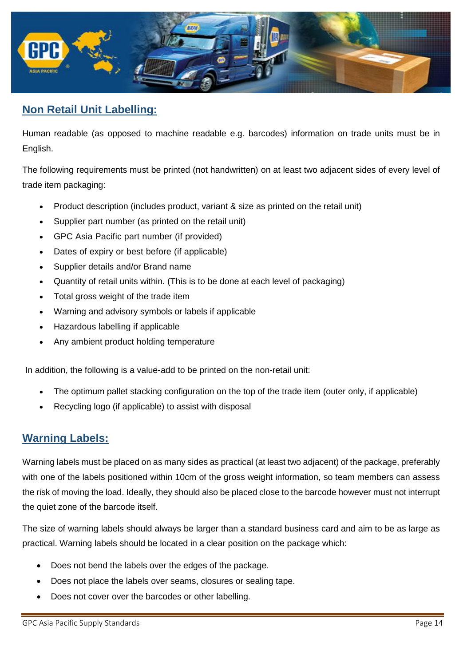

#### **Non Retail Unit Labelling:**

Human readable (as opposed to machine readable e.g. barcodes) information on trade units must be in English.

The following requirements must be printed (not handwritten) on at least two adjacent sides of every level of trade item packaging:

- Product description (includes product, variant & size as printed on the retail unit)
- Supplier part number (as printed on the retail unit)
- GPC Asia Pacific part number (if provided)
- Dates of expiry or best before (if applicable)
- Supplier details and/or Brand name
- Quantity of retail units within. (This is to be done at each level of packaging)
- Total gross weight of the trade item
- Warning and advisory symbols or labels if applicable
- Hazardous labelling if applicable
- Any ambient product holding temperature

In addition, the following is a value-add to be printed on the non-retail unit:

- The optimum pallet stacking configuration on the top of the trade item (outer only, if applicable)
- Recycling logo (if applicable) to assist with disposal

#### **Warning Labels:**

Warning labels must be placed on as many sides as practical (at least two adjacent) of the package, preferably with one of the labels positioned within 10cm of the gross weight information, so team members can assess the risk of moving the load. Ideally, they should also be placed close to the barcode however must not interrupt the quiet zone of the barcode itself.

The size of warning labels should always be larger than a standard business card and aim to be as large as practical. Warning labels should be located in a clear position on the package which:

- Does not bend the labels over the edges of the package.
- Does not place the labels over seams, closures or sealing tape.
- Does not cover over the barcodes or other labelling.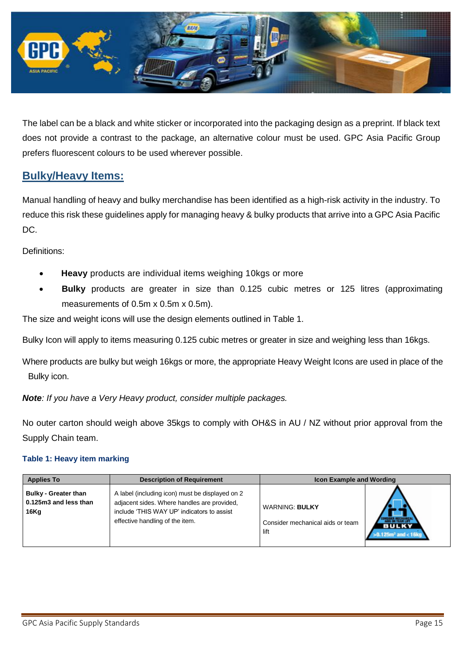

The label can be a black and white sticker or incorporated into the packaging design as a preprint. If black text does not provide a contrast to the package, an alternative colour must be used. GPC Asia Pacific Group prefers fluorescent colours to be used wherever possible.

#### **Bulky/Heavy Items:**

Manual handling of heavy and bulky merchandise has been identified as a high-risk activity in the industry. To reduce this risk these guidelines apply for managing heavy & bulky products that arrive into a GPC Asia Pacific DC.

Definitions:

- **Heavy** products are individual items weighing 10kgs or more
- **Bulky** products are greater in size than 0.125 cubic metres or 125 litres (approximating measurements of 0.5m x 0.5m x 0.5m).

The size and weight icons will use the design elements outlined in Table 1.

Bulky Icon will apply to items measuring 0.125 cubic metres or greater in size and weighing less than 16kgs.

Where products are bulky but weigh 16kgs or more, the appropriate Heavy Weight Icons are used in place of the Bulky icon.

*Note: If you have a Very Heavy product, consider multiple packages.*

No outer carton should weigh above 35kgs to comply with OH&S in AU / NZ without prior approval from the Supply Chain team.

#### **Table 1: Heavy item marking**

| <b>Applies To</b>                                            | <b>Description of Requirement</b>                                                                                                                                               | <b>Icon Example and Wording</b>                                   |                                      |
|--------------------------------------------------------------|---------------------------------------------------------------------------------------------------------------------------------------------------------------------------------|-------------------------------------------------------------------|--------------------------------------|
| <b>Bulky - Greater than</b><br>0.125m3 and less than<br>16Kg | A label (including icon) must be displayed on 2<br>adjacent sides. Where handles are provided,<br>include 'THIS WAY UP' indicators to assist<br>effective handling of the item. | <b>WARNING: BULKY</b><br>Consider mechanical aids or team<br>lift | <b>BULKY</b><br>$125m3$ and $<$ 16kg |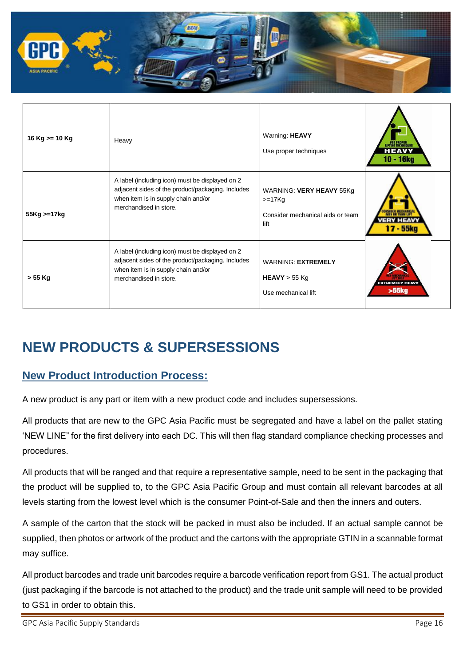

| 16 Kg $> = 10$ Kg | Heavy                                                                                                                                                                 | Warning: HEAVY<br>Use proper techniques                                          | HEAVY<br>10 - 16kg              |
|-------------------|-----------------------------------------------------------------------------------------------------------------------------------------------------------------------|----------------------------------------------------------------------------------|---------------------------------|
| 55Kg >=17kg       | A label (including icon) must be displayed on 2<br>adjacent sides of the product/packaging. Includes<br>when item is in supply chain and/or<br>merchandised in store. | WARNING: VERY HEAVY 55Kg<br>$>=17Kg$<br>Consider mechanical aids or team<br>lift | 17 - 55kg                       |
| $> 55$ Kg         | A label (including icon) must be displayed on 2<br>adjacent sides of the product/packaging. Includes<br>when item is in supply chain and/or<br>merchandised in store. | <b>WARNING: EXTREMELY</b><br>$HEAVY > 55$ Kg<br>Use mechanical lift              | <b>EXTREMELY HEAVY</b><br>>55kg |

# **NEW PRODUCTS & SUPERSESSIONS**

#### **New Product Introduction Process:**

A new product is any part or item with a new product code and includes supersessions.

All products that are new to the GPC Asia Pacific must be segregated and have a label on the pallet stating 'NEW LINE" for the first delivery into each DC. This will then flag standard compliance checking processes and procedures.

All products that will be ranged and that require a representative sample, need to be sent in the packaging that the product will be supplied to, to the GPC Asia Pacific Group and must contain all relevant barcodes at all levels starting from the lowest level which is the consumer Point-of-Sale and then the inners and outers.

A sample of the carton that the stock will be packed in must also be included. If an actual sample cannot be supplied, then photos or artwork of the product and the cartons with the appropriate GTIN in a scannable format may suffice.

All product barcodes and trade unit barcodes require a barcode verification report from GS1. The actual product (just packaging if the barcode is not attached to the product) and the trade unit sample will need to be provided to GS1 in order to obtain this.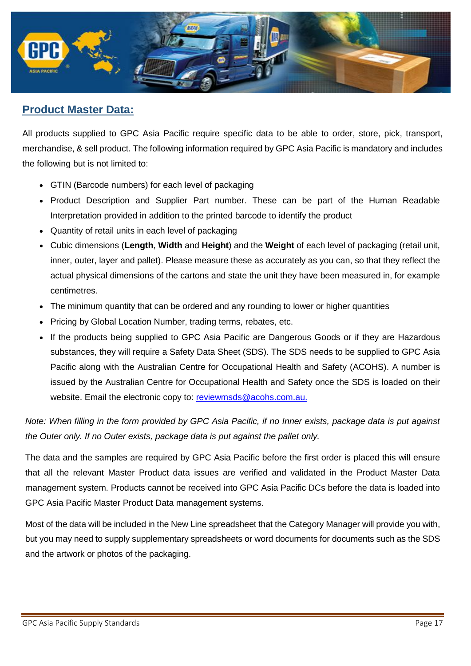

#### **Product Master Data:**

All products supplied to GPC Asia Pacific require specific data to be able to order, store, pick, transport, merchandise, & sell product. The following information required by GPC Asia Pacific is mandatory and includes the following but is not limited to:

- GTIN (Barcode numbers) for each level of packaging
- Product Description and Supplier Part number. These can be part of the Human Readable Interpretation provided in addition to the printed barcode to identify the product
- Quantity of retail units in each level of packaging
- Cubic dimensions (**Length**, **Width** and **Height**) and the **Weight** of each level of packaging (retail unit, inner, outer, layer and pallet). Please measure these as accurately as you can, so that they reflect the actual physical dimensions of the cartons and state the unit they have been measured in, for example centimetres.
- The minimum quantity that can be ordered and any rounding to lower or higher quantities
- Pricing by Global Location Number, trading terms, rebates, etc.
- If the products being supplied to GPC Asia Pacific are Dangerous Goods or if they are Hazardous substances, they will require a Safety Data Sheet (SDS). The SDS needs to be supplied to GPC Asia Pacific along with the Australian Centre for Occupational Health and Safety (ACOHS). A number is issued by the Australian Centre for Occupational Health and Safety once the SDS is loaded on their website. Email the electronic copy to: [reviewmsds@acohs.com.au.](mailto:reviewmsds@acohs.com.au)

*Note: When filling in the form provided by GPC Asia Pacific, if no Inner exists, package data is put against the Outer only. If no Outer exists, package data is put against the pallet only.*

The data and the samples are required by GPC Asia Pacific before the first order is placed this will ensure that all the relevant Master Product data issues are verified and validated in the Product Master Data management system. Products cannot be received into GPC Asia Pacific DCs before the data is loaded into GPC Asia Pacific Master Product Data management systems.

Most of the data will be included in the New Line spreadsheet that the Category Manager will provide you with, but you may need to supply supplementary spreadsheets or word documents for documents such as the SDS and the artwork or photos of the packaging.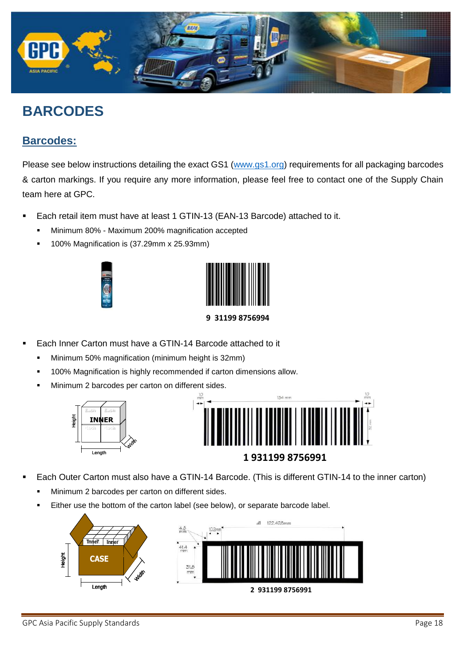

# **BARCODES**

#### **Barcodes:**

Please see below instructions detailing the exact GS1 [\(www.gs1.org\)](http://www.gs1.org/) requirements for all packaging barcodes & carton markings. If you require any more information, please feel free to contact one of the Supply Chain team here at GPC.

- Each retail item must have at least 1 GTIN-13 (EAN-13 Barcode) attached to it.
	- **Minimum 80% Maximum 200% magnification accepted**
	- 100% Magnification is (37.29mm x 25.93mm)





**9 31199 8756994**

- Each Inner Carton must have a GTIN-14 Barcode attached to it
	- Minimum 50% magnification (minimum height is 32mm)
	- 100% Magnification is highly recommended if carton dimensions allow.
	- Minimum 2 barcodes per carton on different sides.





- Each Outer Carton must also have a GTIN-14 Barcode. (This is different GTIN-14 to the inner carton)
	- Minimum 2 barcodes per carton on different sides.
	- Either use the bottom of the carton label (see below), or separate barcode label.

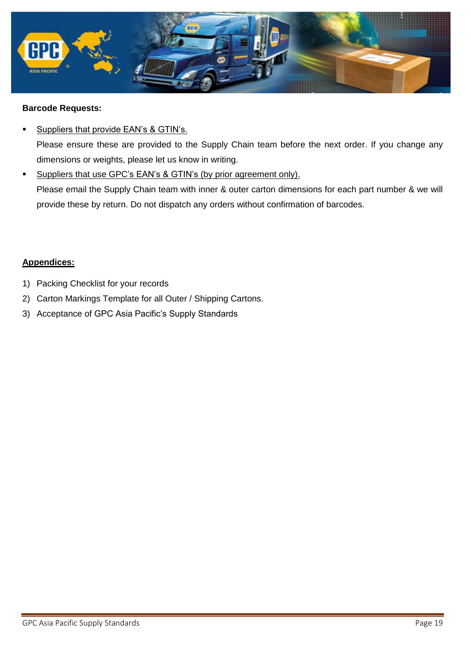

#### **Barcode Requests:**

- Suppliers that provide EAN's & GTIN's. Please ensure these are provided to the Supply Chain team before the next order. If you change any dimensions or weights, please let us know in writing.
- Suppliers that use GPC's EAN's & GTIN's (by prior agreement only). Please email the Supply Chain team with inner & outer carton dimensions for each part number & we will provide these by return. Do not dispatch any orders without confirmation of barcodes.

#### **Appendices:**

- 1) Packing Checklist for your records
- 2) Carton Markings Template for all Outer / Shipping Cartons.
- 3) Acceptance of GPC Asia Pacific's Supply Standards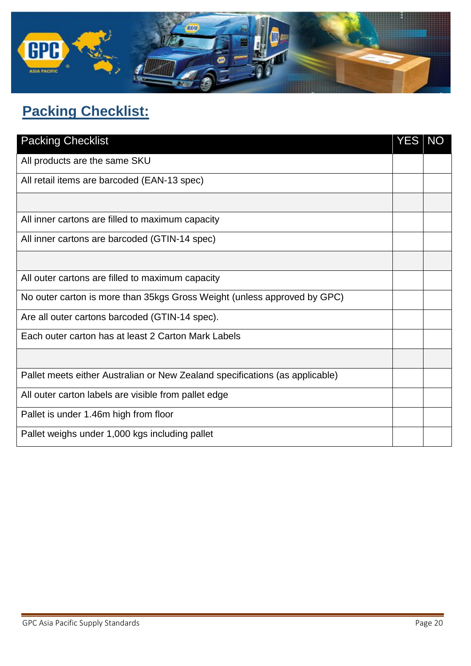

# **Packing Checklist:**

| <b>Packing Checklist</b>                                                     |  |
|------------------------------------------------------------------------------|--|
| All products are the same SKU                                                |  |
| All retail items are barcoded (EAN-13 spec)                                  |  |
|                                                                              |  |
| All inner cartons are filled to maximum capacity                             |  |
| All inner cartons are barcoded (GTIN-14 spec)                                |  |
|                                                                              |  |
| All outer cartons are filled to maximum capacity                             |  |
| No outer carton is more than 35kgs Gross Weight (unless approved by GPC)     |  |
| Are all outer cartons barcoded (GTIN-14 spec).                               |  |
| Each outer carton has at least 2 Carton Mark Labels                          |  |
|                                                                              |  |
| Pallet meets either Australian or New Zealand specifications (as applicable) |  |
| All outer carton labels are visible from pallet edge                         |  |
| Pallet is under 1.46m high from floor                                        |  |
| Pallet weighs under 1,000 kgs including pallet                               |  |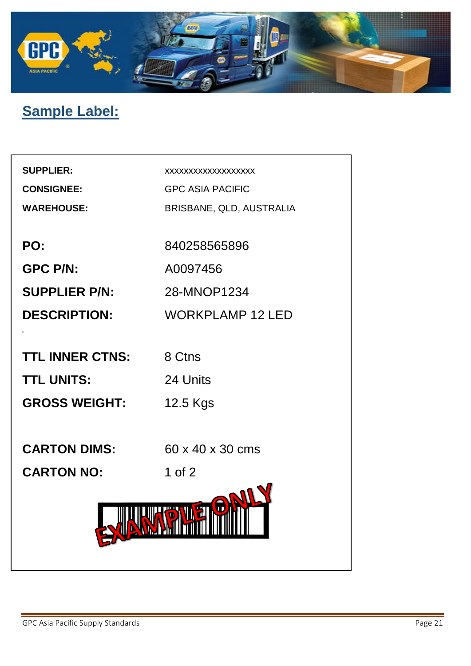

# **Sample Label:**

| <b>SUPPLIER:</b><br><b>CONSIGNEE:</b> | XXXXXXXXXXXXXXXXXX<br><b>GPC ASIA PACIFIC</b> |
|---------------------------------------|-----------------------------------------------|
| <b>WAREHOUSE:</b>                     | BRISBANE, QLD, AUSTRALIA                      |
|                                       |                                               |
| PO:                                   | 840258565896                                  |
| <b>GPC P/N:</b>                       | A0097456                                      |
| <b>SUPPLIER P/N:</b>                  | 28-MNOP1234                                   |
| <b>DESCRIPTION:</b>                   | <b>WORKPLAMP 12 LED</b>                       |
|                                       |                                               |
| <b>TTL INNER CTNS:</b>                | 8 Ctns                                        |
| <b>TTL UNITS:</b>                     | 24 Units                                      |
| <b>GROSS WEIGHT:</b>                  | 12.5 Kgs                                      |
|                                       |                                               |
| <b>CARTON DIMS:</b>                   | 60 x 40 x 30 cms                              |
| <b>CARTON NO:</b>                     | 1 of $2$                                      |
|                                       |                                               |